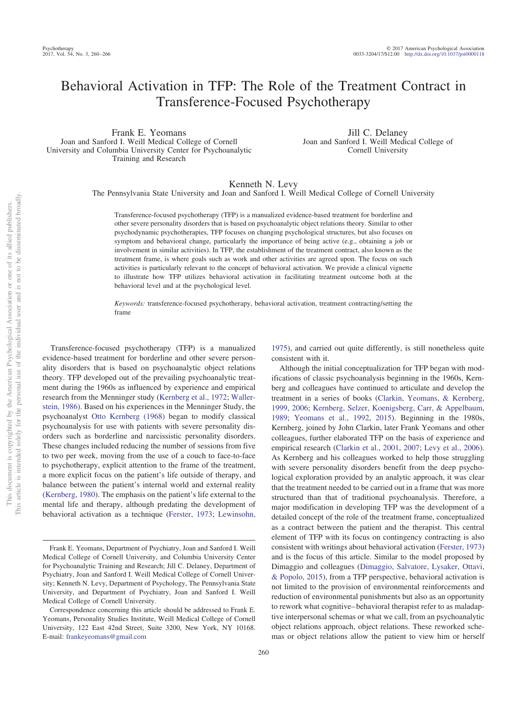# Behavioral Activation in TFP: The Role of the Treatment Contract in Transference-Focused Psychotherapy

Frank E. Yeomans Joan and Sanford I. Weill Medical College of Cornell University and Columbia University Center for Psychoanalytic Training and Research

Jill C. Delaney Joan and Sanford I. Weill Medical College of Cornell University

#### Kenneth N. Levy

The Pennsylvania State University and Joan and Sanford I. Weill Medical College of Cornell University

Transference-focused psychotherapy (TFP) is a manualized evidence-based treatment for borderline and other severe personality disorders that is based on psychoanalytic object relations theory. Similar to other psychodynamic psychotherapies, TFP focuses on changing psychological structures, but also focuses on symptom and behavioral change, particularly the importance of being active (e.g., obtaining a job or involvement in similar activities). In TFP, the establishment of the treatment contract, also known as the treatment frame, is where goals such as work and other activities are agreed upon. The focus on such activities is particularly relevant to the concept of behavioral activation. We provide a clinical vignette to illustrate how TFP utilizes behavioral activation in facilitating treatment outcome both at the behavioral level and at the psychological level.

*Keywords:* transference-focused psychotherapy, behavioral activation, treatment contracting/setting the frame

Transference-focused psychotherapy (TFP) is a manualized evidence-based treatment for borderline and other severe personality disorders that is based on psychoanalytic object relations theory. TFP developed out of the prevailing psychoanalytic treatment during the 1960s as influenced by experience and empirical research from the Menninger study [\(Kernberg et al., 1972;](#page-6-0) [Waller](#page-6-1)[stein, 1986\)](#page-6-1). Based on his experiences in the Menninger Study, the psychoanalyst [Otto Kernberg \(1968\)](#page-6-2) began to modify classical psychoanalysis for use with patients with severe personality disorders such as borderline and narcissistic personality disorders. These changes included reducing the number of sessions from five to two per week, moving from the use of a couch to face-to-face to psychotherapy, explicit attention to the frame of the treatment, a more explicit focus on the patient's life outside of therapy, and balance between the patient's internal world and external reality [\(Kernberg, 1980\)](#page-6-3). The emphasis on the patient's life external to the mental life and therapy, although predating the development of behavioral activation as a technique [\(Ferster, 1973;](#page-6-4) [Lewinsohn,](#page-6-5)

[1975\)](#page-6-5), and carried out quite differently, is still nonetheless quite consistent with it.

Although the initial conceptualization for TFP began with modifications of classic psychoanalysis beginning in the 1960s, Kernberg and colleagues have continued to articulate and develop the treatment in a series of books [\(Clarkin, Yeomans, & Kernberg,](#page-6-6) [1999,](#page-6-6) [2006;](#page-6-7) [Kernberg, Selzer, Koenigsberg, Carr, & Appelbaum,](#page-6-8) [1989;](#page-6-8) [Yeomans et al., 1992,](#page-6-9) [2015\)](#page-6-10). Beginning in the 1980s, Kernberg, joined by John Clarkin, later Frank Yeomans and other colleagues, further elaborated TFP on the basis of experience and empirical research [\(Clarkin et al., 2001,](#page-6-11) [2007;](#page-6-12) [Levy et al., 2006\)](#page-6-13). As Kernberg and his colleagues worked to help those struggling with severe personality disorders benefit from the deep psychological exploration provided by an analytic approach, it was clear that the treatment needed to be carried out in a frame that was more structured than that of traditional psychoanalysis. Therefore, a major modification in developing TFP was the development of a detailed concept of the role of the treatment frame, conceptualized as a contract between the patient and the therapist. This central element of TFP with its focus on contingency contracting is also consistent with writings about behavioral activation [\(Ferster, 1973\)](#page-6-4) and is the focus of this article. Similar to the model proposed by Dimaggio and colleagues [\(Dimaggio, Salvatore, Lysaker, Ottavi,](#page-6-14) [& Popolo, 2015\)](#page-6-14), from a TFP perspective, behavioral activation is not limited to the provision of environmental reinforcements and reduction of environmental punishments but also as an opportunity to rework what cognitive– behavioral therapist refer to as maladaptive interpersonal schemas or what we call, from an psychoanalytic object relations approach, object relations. These reworked schemas or object relations allow the patient to view him or herself

Frank E. Yeomans, Department of Psychiatry, Joan and Sanford I. Weill Medical College of Cornell University, and Columbia University Center for Psychoanalytic Training and Research; Jill C. Delaney, Department of Psychiatry, Joan and Sanford I. Weill Medical College of Cornell University; Kenneth N. Levy, Department of Psychology, The Pennsylvania State University, and Department of Psychiatry, Joan and Sanford I. Weill Medical College of Cornell University.

Correspondence concerning this article should be addressed to Frank E. Yeomans, Personality Studies Institute, Weill Medical College of Cornell University, 122 East 42nd Street, Suite 3200, New York, NY 10168. E-mail: [frankeyeomans@gmail.com](mailto:frankeyeomans@gmail.com)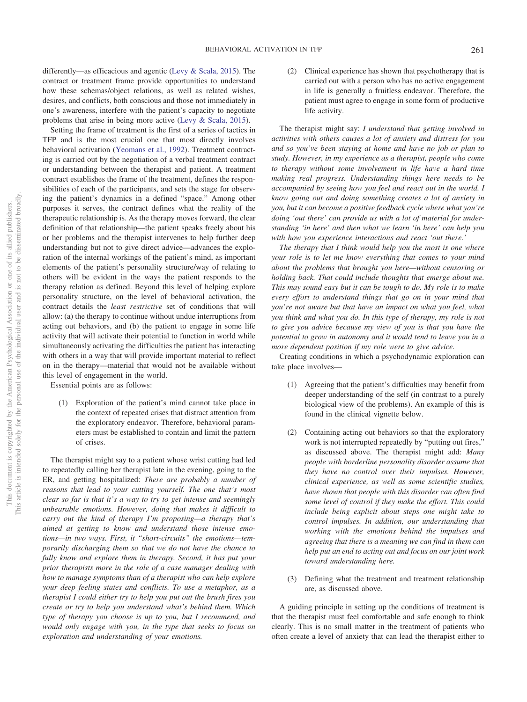differently—as efficacious and agentic [\(Levy & Scala, 2015\)](#page-6-15). The contract or treatment frame provide opportunities to understand how these schemas/object relations, as well as related wishes, desires, and conflicts, both conscious and those not immediately in one's awareness, interfere with the patient's capacity to negotiate problems that arise in being more active [\(Levy & Scala, 2015\)](#page-6-15).

Setting the frame of treatment is the first of a series of tactics in TFP and is the most crucial one that most directly involves behavioral activation [\(Yeomans et al., 1992\)](#page-6-9). Treatment contracting is carried out by the negotiation of a verbal treatment contract or understanding between the therapist and patient. A treatment contract establishes the frame of the treatment, defines the responsibilities of each of the participants, and sets the stage for observing the patient's dynamics in a defined "space." Among other purposes it serves, the contract defines what the reality of the therapeutic relationship is. As the therapy moves forward, the clear definition of that relationship—the patient speaks freely about his or her problems and the therapist intervenes to help further deep understanding but not to give direct advice—advances the exploration of the internal workings of the patient's mind, as important elements of the patient's personality structure/way of relating to others will be evident in the ways the patient responds to the therapy relation as defined. Beyond this level of helping explore personality structure, on the level of behavioral activation, the contract details the *least restrictive* set of conditions that will allow: (a) the therapy to continue without undue interruptions from acting out behaviors, and (b) the patient to engage in some life activity that will activate their potential to function in world while simultaneously activating the difficulties the patient has interacting with others in a way that will provide important material to reflect on in the therapy—material that would not be available without this level of engagement in the world.

Essential points are as follows:

(1) Exploration of the patient's mind cannot take place in the context of repeated crises that distract attention from the exploratory endeavor. Therefore, behavioral parameters must be established to contain and limit the pattern of crises.

The therapist might say to a patient whose wrist cutting had led to repeatedly calling her therapist late in the evening, going to the ER, and getting hospitalized: *There are probably a number of reasons that lead to your cutting yourself. The one that's most clear so far is that it's a way to try to get intense and seemingly unbearable emotions. However, doing that makes it difficult to carry out the kind of therapy I'm proposing—a therapy that's aimed at getting to know and understand those intense emotions—in two ways. First, it "short-circuits" the emotions—temporarily discharging them so that we do not have the chance to fully know and explore them in therapy. Second, it has put your prior therapists more in the role of a case manager dealing with how to manage symptoms than of a therapist who can help explore your deep feeling states and conflicts. To use a metaphor, as a therapist I could either try to help you put out the brush fires you create or try to help you understand what's behind them. Which type of therapy you choose is up to you, but I recommend, and would only engage with you, in the type that seeks to focus on exploration and understanding of your emotions.*

(2) Clinical experience has shown that psychotherapy that is carried out with a person who has no active engagement in life is generally a fruitless endeavor. Therefore, the patient must agree to engage in some form of productive life activity.

The therapist might say: *I understand that getting involved in activities with others causes a lot of anxiety and distress for you and so you've been staying at home and have no job or plan to study. However, in my experience as a therapist, people who come to therapy without some involvement in life have a hard time making real progress. Understanding things here needs to be accompanied by seeing how you feel and react out in the world. I know going out and doing something creates a lot of anxiety in you, but it can become a positive feedback cycle where what you're doing 'out there' can provide us with a lot of material for understanding 'in here' and then what we learn 'in here' can help you with how you experience interactions and react 'out there.'*

*The therapy that I think would help you the most is one where your role is to let me know everything that comes to your mind about the problems that brought you here—without censoring or holding back. That could include thoughts that emerge about me. This may sound easy but it can be tough to do. My role is to make every effort to understand things that go on in your mind that you're not aware but that have an impact on what you feel, what you think and what you do. In this type of therapy, my role is not to give you advice because my view of you is that you have the potential to grow in autonomy and it would tend to leave you in a more dependent position if my role were to give advice.*

Creating conditions in which a psychodynamic exploration can take place involves—

- (1) Agreeing that the patient's difficulties may benefit from deeper understanding of the self (in contrast to a purely biological view of the problems). An example of this is found in the clinical vignette below.
- (2) Containing acting out behaviors so that the exploratory work is not interrupted repeatedly by "putting out fires," as discussed above. The therapist might add: *Many people with borderline personality disorder assume that they have no control over their impulses. However, clinical experience, as well as some scientific studies, have shown that people with this disorder can often find some level of control if they make the effort. This could include being explicit about steps one might take to control impulses. In addition, our understanding that working with the emotions behind the impulses and agreeing that there is a meaning we can find in them can help put an end to acting out and focus on our joint work toward understanding here.*
- (3) Defining what the treatment and treatment relationship are, as discussed above.

A guiding principle in setting up the conditions of treatment is that the therapist must feel comfortable and safe enough to think clearly. This is no small matter in the treatment of patients who often create a level of anxiety that can lead the therapist either to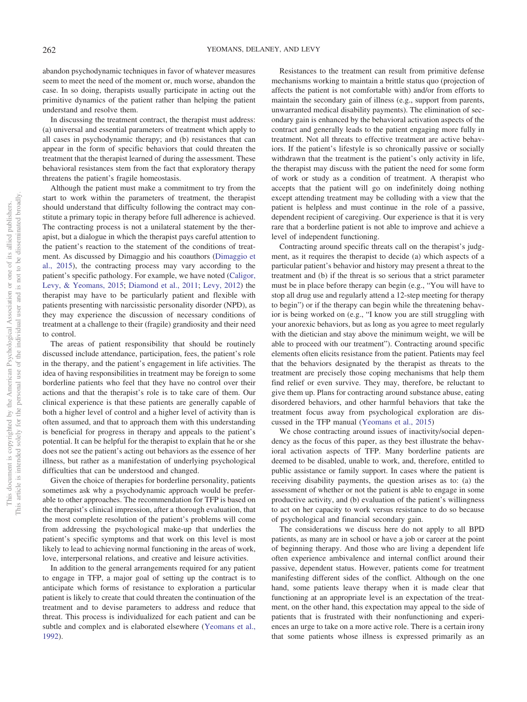abandon psychodynamic techniques in favor of whatever measures seem to meet the need of the moment or, much worse, abandon the case. In so doing, therapists usually participate in acting out the primitive dynamics of the patient rather than helping the patient understand and resolve them.

In discussing the treatment contract, the therapist must address: (a) universal and essential parameters of treatment which apply to all cases in psychodynamic therapy; and (b) resistances that can appear in the form of specific behaviors that could threaten the treatment that the therapist learned of during the assessment. These behavioral resistances stem from the fact that exploratory therapy threatens the patient's fragile homeostasis.

Although the patient must make a commitment to try from the start to work within the parameters of treatment, the therapist should understand that difficulty following the contract may constitute a primary topic in therapy before full adherence is achieved. The contracting process is not a unilateral statement by the therapist, but a dialogue in which the therapist pays careful attention to the patient's reaction to the statement of the conditions of treatment. As discussed by Dimaggio and his coauthors [\(Dimaggio et](#page-6-14) [al., 2015\)](#page-6-14), the contracting process may vary according to the patient's specific pathology. For example, we have noted [\(Caligor,](#page-6-16) [Levy, & Yeomans, 2015;](#page-6-16) [Diamond et al., 2011;](#page-6-17) [Levy, 2012\)](#page-6-18) the therapist may have to be particularly patient and flexible with patients presenting with narcissistic personality disorder (NPD), as they may experience the discussion of necessary conditions of treatment at a challenge to their (fragile) grandiosity and their need to control.

The areas of patient responsibility that should be routinely discussed include attendance, participation, fees, the patient's role in the therapy, and the patient's engagement in life activities. The idea of having responsibilities in treatment may be foreign to some borderline patients who feel that they have no control over their actions and that the therapist's role is to take care of them. Our clinical experience is that these patients are generally capable of both a higher level of control and a higher level of activity than is often assumed, and that to approach them with this understanding is beneficial for progress in therapy and appeals to the patient's potential. It can be helpful for the therapist to explain that he or she does not see the patient's acting out behaviors as the essence of her illness, but rather as a manifestation of underlying psychological difficulties that can be understood and changed.

Given the choice of therapies for borderline personality, patients sometimes ask why a psychodynamic approach would be preferable to other approaches. The recommendation for TFP is based on the therapist's clinical impression, after a thorough evaluation, that the most complete resolution of the patient's problems will come from addressing the psychological make-up that underlies the patient's specific symptoms and that work on this level is most likely to lead to achieving normal functioning in the areas of work, love, interpersonal relations, and creative and leisure activities.

In addition to the general arrangements required for any patient to engage in TFP, a major goal of setting up the contract is to anticipate which forms of resistance to exploration a particular patient is likely to create that could threaten the continuation of the treatment and to devise parameters to address and reduce that threat. This process is individualized for each patient and can be subtle and complex and is elaborated elsewhere [\(Yeomans et al.,](#page-6-9) [1992\)](#page-6-9).

Resistances to the treatment can result from primitive defense mechanisms working to maintain a brittle status quo (projection of affects the patient is not comfortable with) and/or from efforts to maintain the secondary gain of illness (e.g., support from parents, unwarranted medical disability payments). The elimination of secondary gain is enhanced by the behavioral activation aspects of the contract and generally leads to the patient engaging more fully in treatment. Not all threats to effective treatment are active behaviors. If the patient's lifestyle is so chronically passive or socially withdrawn that the treatment is the patient's only activity in life, the therapist may discuss with the patient the need for some form of work or study as a condition of treatment. A therapist who accepts that the patient will go on indefinitely doing nothing except attending treatment may be colluding with a view that the patient is helpless and must continue in the role of a passive, dependent recipient of caregiving. Our experience is that it is very rare that a borderline patient is not able to improve and achieve a level of independent functioning.

Contracting around specific threats call on the therapist's judgment, as it requires the therapist to decide (a) which aspects of a particular patient's behavior and history may present a threat to the treatment and (b) if the threat is so serious that a strict parameter must be in place before therapy can begin (e.g., "You will have to stop all drug use and regularly attend a 12-step meeting for therapy to begin") or if the therapy can begin while the threatening behavior is being worked on (e.g., "I know you are still struggling with your anorexic behaviors, but as long as you agree to meet regularly with the dietician and stay above the minimum weight, we will be able to proceed with our treatment"). Contracting around specific elements often elicits resistance from the patient. Patients may feel that the behaviors designated by the therapist as threats to the treatment are precisely those coping mechanisms that help them find relief or even survive. They may, therefore, be reluctant to give them up. Plans for contracting around substance abuse, eating disordered behaviors, and other harmful behaviors that take the treatment focus away from psychological exploration are discussed in the TFP manual [\(Yeomans et al., 2015\)](#page-6-10)

We chose contracting around issues of inactivity/social dependency as the focus of this paper, as they best illustrate the behavioral activation aspects of TFP. Many borderline patients are deemed to be disabled, unable to work, and, therefore, entitled to public assistance or family support. In cases where the patient is receiving disability payments, the question arises as to: (a) the assessment of whether or not the patient is able to engage in some productive activity, and (b) evaluation of the patient's willingness to act on her capacity to work versus resistance to do so because of psychological and financial secondary gain.

The considerations we discuss here do not apply to all BPD patients, as many are in school or have a job or career at the point of beginning therapy. And those who are living a dependent life often experience ambivalence and internal conflict around their passive, dependent status. However, patients come for treatment manifesting different sides of the conflict. Although on the one hand, some patients leave therapy when it is made clear that functioning at an appropriate level is an expectation of the treatment, on the other hand, this expectation may appeal to the side of patients that is frustrated with their nonfunctioning and experiences an urge to take on a more active role. There is a certain irony that some patients whose illness is expressed primarily as an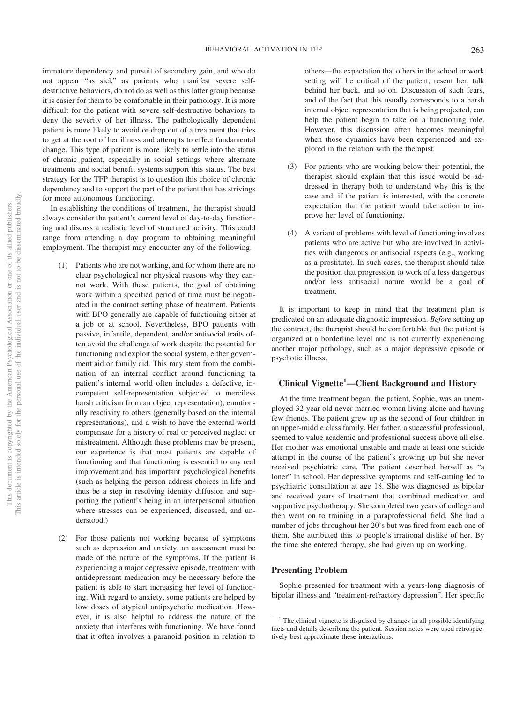immature dependency and pursuit of secondary gain, and who do not appear "as sick" as patients who manifest severe selfdestructive behaviors, do not do as well as this latter group because it is easier for them to be comfortable in their pathology. It is more difficult for the patient with severe self-destructive behaviors to deny the severity of her illness. The pathologically dependent patient is more likely to avoid or drop out of a treatment that tries to get at the root of her illness and attempts to effect fundamental change. This type of patient is more likely to settle into the status of chronic patient, especially in social settings where alternate treatments and social benefit systems support this status. The best strategy for the TFP therapist is to question this choice of chronic dependency and to support the part of the patient that has strivings for more autonomous functioning.

In establishing the conditions of treatment, the therapist should always consider the patient's current level of day-to-day functioning and discuss a realistic level of structured activity. This could range from attending a day program to obtaining meaningful employment. The therapist may encounter any of the following.

- (1) Patients who are not working, and for whom there are no clear psychological nor physical reasons why they cannot work. With these patients, the goal of obtaining work within a specified period of time must be negotiated in the contract setting phase of treatment. Patients with BPO generally are capable of functioning either at a job or at school. Nevertheless, BPO patients with passive, infantile, dependent, and/or antisocial traits often avoid the challenge of work despite the potential for functioning and exploit the social system, either government aid or family aid. This may stem from the combination of an internal conflict around functioning (a patient's internal world often includes a defective, incompetent self-representation subjected to merciless harsh criticism from an object representation), emotionally reactivity to others (generally based on the internal representations), and a wish to have the external world compensate for a history of real or perceived neglect or mistreatment. Although these problems may be present, our experience is that most patients are capable of functioning and that functioning is essential to any real improvement and has important psychological benefits (such as helping the person address choices in life and thus be a step in resolving identity diffusion and supporting the patient's being in an interpersonal situation where stresses can be experienced, discussed, and understood.)
- (2) For those patients not working because of symptoms such as depression and anxiety, an assessment must be made of the nature of the symptoms. If the patient is experiencing a major depressive episode, treatment with antidepressant medication may be necessary before the patient is able to start increasing her level of functioning. With regard to anxiety, some patients are helped by low doses of atypical antipsychotic medication. However, it is also helpful to address the nature of the anxiety that interferes with functioning. We have found that it often involves a paranoid position in relation to

others—the expectation that others in the school or work setting will be critical of the patient, resent her, talk behind her back, and so on. Discussion of such fears, and of the fact that this usually corresponds to a harsh internal object representation that is being projected, can help the patient begin to take on a functioning role. However, this discussion often becomes meaningful when those dynamics have been experienced and explored in the relation with the therapist.

- (3) For patients who are working below their potential, the therapist should explain that this issue would be addressed in therapy both to understand why this is the case and, if the patient is interested, with the concrete expectation that the patient would take action to improve her level of functioning.
- (4) A variant of problems with level of functioning involves patients who are active but who are involved in activities with dangerous or antisocial aspects (e.g., working as a prostitute). In such cases, the therapist should take the position that progression to work of a less dangerous and/or less antisocial nature would be a goal of treatment.

It is important to keep in mind that the treatment plan is predicated on an adequate diagnostic impression. *Before* setting up the contract, the therapist should be comfortable that the patient is organized at a borderline level and is not currently experiencing another major pathology, such as a major depressive episode or psychotic illness.

## **Clinical Vignette1 —Client Background and History**

At the time treatment began, the patient, Sophie, was an unemployed 32-year old never married woman living alone and having few friends. The patient grew up as the second of four children in an upper-middle class family. Her father, a successful professional, seemed to value academic and professional success above all else. Her mother was emotional unstable and made at least one suicide attempt in the course of the patient's growing up but she never received psychiatric care. The patient described herself as "a loner" in school. Her depressive symptoms and self-cutting led to psychiatric consultation at age 18. She was diagnosed as bipolar and received years of treatment that combined medication and supportive psychotherapy. She completed two years of college and then went on to training in a paraprofessional field. She had a number of jobs throughout her 20's but was fired from each one of them. She attributed this to people's irrational dislike of her. By the time she entered therapy, she had given up on working.

#### **Presenting Problem**

Sophie presented for treatment with a years-long diagnosis of bipolar illness and "treatment-refractory depression". Her specific

 $<sup>1</sup>$  The clinical vignette is disguised by changes in all possible identifying</sup> facts and details describing the patient. Session notes were used retrospectively best approximate these interactions.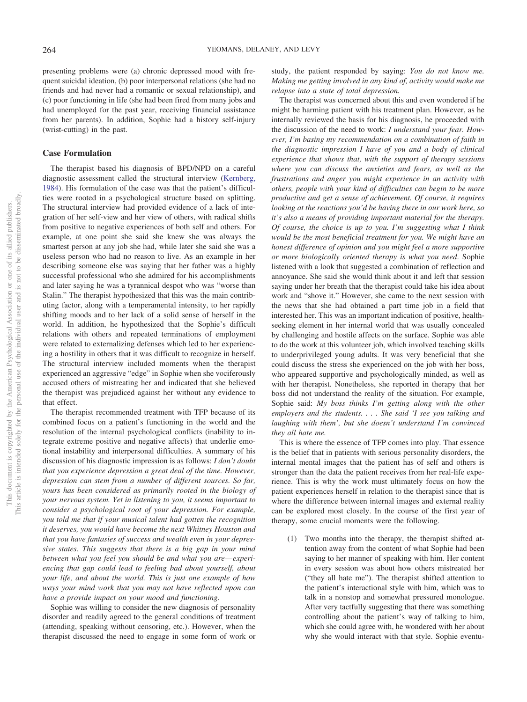presenting problems were (a) chronic depressed mood with frequent suicidal ideation, (b) poor interpersonal relations (she had no friends and had never had a romantic or sexual relationship), and (c) poor functioning in life (she had been fired from many jobs and had unemployed for the past year, receiving financial assistance from her parents). In addition, Sophie had a history self-injury (wrist-cutting) in the past.

#### **Case Formulation**

The therapist based his diagnosis of BPD/NPD on a careful diagnostic assessment called the structural interview [\(Kernberg,](#page-6-19) [1984\)](#page-6-19). His formulation of the case was that the patient's difficulties were rooted in a psychological structure based on splitting. The structural interview had provided evidence of a lack of integration of her self-view and her view of others, with radical shifts from positive to negative experiences of both self and others. For example, at one point she said she knew she was always the smartest person at any job she had, while later she said she was a useless person who had no reason to live. As an example in her describing someone else was saying that her father was a highly successful professional who she admired for his accomplishments and later saying he was a tyrannical despot who was "worse than Stalin." The therapist hypothesized that this was the main contributing factor, along with a temperamental intensity, to her rapidly shifting moods and to her lack of a solid sense of herself in the world. In addition, he hypothesized that the Sophie's difficult relations with others and repeated terminations of employment were related to externalizing defenses which led to her experiencing a hostility in others that it was difficult to recognize in herself. The structural interview included moments when the therapist experienced an aggressive "edge" in Sophie when she vociferously accused others of mistreating her and indicated that she believed the therapist was prejudiced against her without any evidence to that effect.

The therapist recommended treatment with TFP because of its combined focus on a patient's functioning in the world and the resolution of the internal psychological conflicts (inability to integrate extreme positive and negative affects) that underlie emotional instability and interpersonal difficulties. A summary of his discussion of his diagnostic impression is as follows: *I don't doubt that you experience depression a great deal of the time. However, depression can stem from a number of different sources. So far, yours has been considered as primarily rooted in the biology of your nervous system. Yet in listening to you, it seems important to consider a psychological root of your depression. For example, you told me that if your musical talent had gotten the recognition it deserves, you would have become the next Whitney Houston and that you have fantasies of success and wealth even in your depressive states. This suggests that there is a big gap in your mind between what you feel you should be and what you are— experiencing that gap could lead to feeling bad about yourself, about your life, and about the world. This is just one example of how ways your mind work that you may not have reflected upon can have a provide impact on your mood and functioning.*

Sophie was willing to consider the new diagnosis of personality disorder and readily agreed to the general conditions of treatment (attending, speaking without censoring, etc.). However, when the therapist discussed the need to engage in some form of work or

study, the patient responded by saying: *You do not know me. Making me getting involved in any kind of, activity would make me relapse into a state of total depression.*

The therapist was concerned about this and even wondered if he might be harming patient with his treatment plan. However, as he internally reviewed the basis for his diagnosis, he proceeded with the discussion of the need to work: *I understand your fear. However, I'm basing my recommendation on a combination of faith in the diagnostic impression I have of you and a body of clinical experience that shows that, with the support of therapy sessions where you can discuss the anxieties and fears, as well as the frustrations and anger you might experience in an activity with others, people with your kind of difficulties can begin to be more productive and get a sense of achievement. Of course, it requires looking at the reactions you'd be having there in our work here, so it's also a means of providing important material for the therapy. Of course, the choice is up to you. I'm suggesting what I think would be the most beneficial treatment for you. We might have an honest difference of opinion and you might feel a more supportive or more biologically oriented therapy is what you need*. Sophie listened with a look that suggested a combination of reflection and annoyance. She said she would think about it and left that session saying under her breath that the therapist could take his idea about work and "shove it." However, she came to the next session with the news that she had obtained a part time job in a field that interested her. This was an important indication of positive, healthseeking element in her internal world that was usually concealed by challenging and hostile affects on the surface. Sophie was able to do the work at this volunteer job, which involved teaching skills to underprivileged young adults. It was very beneficial that she could discuss the stress she experienced on the job with her boss, who appeared supportive and psychologically minded, as well as with her therapist. Nonetheless, she reported in therapy that her boss did not understand the reality of the situation. For example, Sophie said: *My boss thinks I'm getting along with the other employers and the students. . . . She said 'I see you talking and laughing with them', but she doesn't understand I'm convinced they all hate me.*

This is where the essence of TFP comes into play. That essence is the belief that in patients with serious personality disorders, the internal mental images that the patient has of self and others is stronger than the data the patient receives from her real-life experience. This is why the work must ultimately focus on how the patient experiences herself in relation to the therapist since that is where the difference between internal images and external reality can be explored most closely. In the course of the first year of therapy, some crucial moments were the following.

(1) Two months into the therapy, the therapist shifted attention away from the content of what Sophie had been saying to her manner of speaking with him. Her content in every session was about how others mistreated her ("they all hate me"). The therapist shifted attention to the patient's interactional style with him, which was to talk in a nonstop and somewhat pressured monologue. After very tactfully suggesting that there was something controlling about the patient's way of talking to him, which she could agree with, he wondered with her about why she would interact with that style. Sophie eventu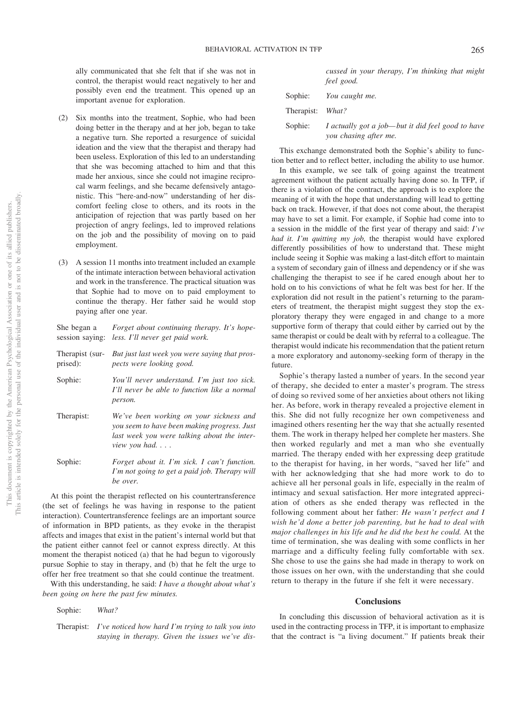ally communicated that she felt that if she was not in control, the therapist would react negatively to her and possibly even end the treatment. This opened up an important avenue for exploration.

- (2) Six months into the treatment, Sophie, who had been doing better in the therapy and at her job, began to take a negative turn. She reported a resurgence of suicidal ideation and the view that the therapist and therapy had been useless. Exploration of this led to an understanding that she was becoming attached to him and that this made her anxious, since she could not imagine reciprocal warm feelings, and she became defensively antagonistic. This "here-and-now" understanding of her discomfort feeling close to others, and its roots in the anticipation of rejection that was partly based on her projection of angry feelings, led to improved relations on the job and the possibility of moving on to paid employment.
- (3) A session 11 months into treatment included an example of the intimate interaction between behavioral activation and work in the transference. The practical situation was that Sophie had to move on to paid employment to continue the therapy. Her father said he would stop paying after one year.

*Forget about continuing therapy. It's hope-*

|            | session saying: less. I'll never get paid work.                                                                                                               |
|------------|---------------------------------------------------------------------------------------------------------------------------------------------------------------|
| prised):   | Therapist (sur- But just last week you were saying that pros-<br>pects were looking good.                                                                     |
| Sophie:    | You'll never understand. I'm just too sick.<br>I'll never be able to function like a normal<br>person.                                                        |
| Therapist: | We've been working on your sickness and<br>you seem to have been making progress. Just<br>last week you were talking about the inter-<br><i>view you had.</i> |
| Sophie:    | Forget about it. I'm sick. I can't function.<br>I'm not going to get a paid job. Therapy will<br>be over.                                                     |

At this point the therapist reflected on his countertransference (the set of feelings he was having in response to the patient interaction). Countertransference feelings are an important source of information in BPD patients, as they evoke in the therapist affects and images that exist in the patient's internal world but that the patient either cannot feel or cannot express directly. At this moment the therapist noticed (a) that he had begun to vigorously pursue Sophie to stay in therapy, and (b) that he felt the urge to offer her free treatment so that she could continue the treatment.

With this understanding, he said: *I have a thought about what's been going on here the past few minutes.*

Sophie: *What?*

She began a

|            |  | cussed in your therapy, I'm thinking that might |  |  |
|------------|--|-------------------------------------------------|--|--|
| feel good. |  |                                                 |  |  |

|                  | Sophie: <i>You caught me.</i>                                              |
|------------------|----------------------------------------------------------------------------|
| Therapist: What? |                                                                            |
| Sophie:          | I actually got a job—but it did feel good to have<br>you chasing after me. |

This exchange demonstrated both the Sophie's ability to function better and to reflect better, including the ability to use humor.

In this example, we see talk of going against the treatment agreement without the patient actually having done so. In TFP, if there is a violation of the contract, the approach is to explore the meaning of it with the hope that understanding will lead to getting back on track. However, if that does not come about, the therapist may have to set a limit. For example, if Sophie had come into to a session in the middle of the first year of therapy and said: *I've had it. I'm quitting my job,* the therapist would have explored differently possibilities of how to understand that. These might include seeing it Sophie was making a last-ditch effort to maintain a system of secondary gain of illness and dependency or if she was challenging the therapist to see if he cared enough about her to hold on to his convictions of what he felt was best for her. If the exploration did not result in the patient's returning to the parameters of treatment, the therapist might suggest they stop the exploratory therapy they were engaged in and change to a more supportive form of therapy that could either by carried out by the same therapist or could be dealt with by referral to a colleague. The therapist would indicate his recommendation that the patient return a more exploratory and autonomy-seeking form of therapy in the future.

Sophie's therapy lasted a number of years. In the second year of therapy, she decided to enter a master's program. The stress of doing so revived some of her anxieties about others not liking her. As before, work in therapy revealed a projective element in this. She did not fully recognize her own competiveness and imagined others resenting her the way that she actually resented them. The work in therapy helped her complete her masters. She then worked regularly and met a man who she eventually married. The therapy ended with her expressing deep gratitude to the therapist for having, in her words, "saved her life" and with her acknowledging that she had more work to do to achieve all her personal goals in life, especially in the realm of intimacy and sexual satisfaction. Her more integrated appreciation of others as she ended therapy was reflected in the following comment about her father: *He wasn't perfect and I wish he'd done a better job parenting, but he had to deal with major challenges in his life and he did the best he could.* At the time of termination, she was dealing with some conflicts in her marriage and a difficulty feeling fully comfortable with sex. She chose to use the gains she had made in therapy to work on those issues on her own, with the understanding that she could return to therapy in the future if she felt it were necessary.

#### **Conclusions**

In concluding this discussion of behavioral activation as it is used in the contracting process in TFP, it is important to emphasize that the contract is "a living document." If patients break their

Therapist: *I've noticed how hard I'm trying to talk you into staying in therapy. Given the issues we've dis-*